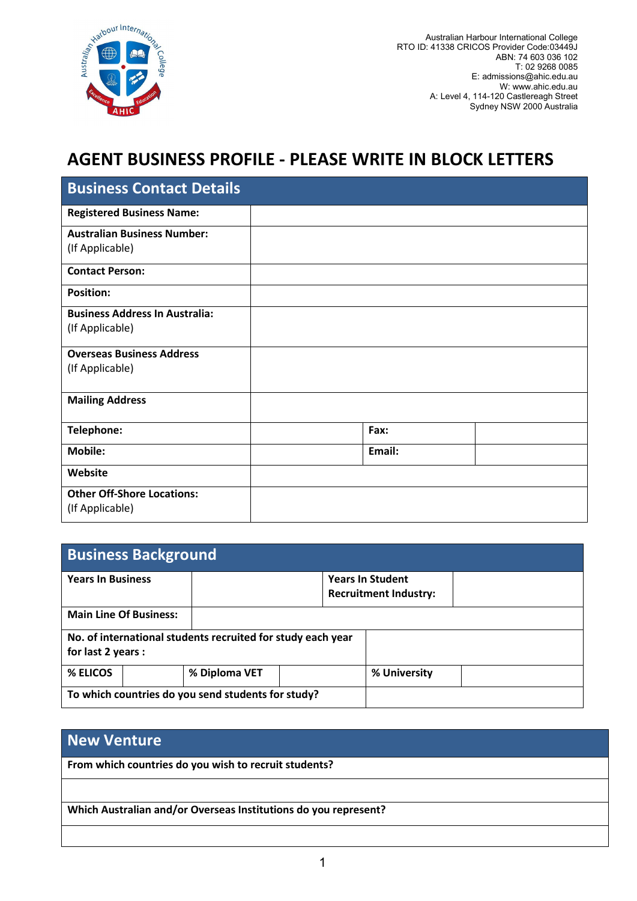

Australian Harbour International College RTO ID: 41338 CRICOS Provider Code:03449J ABN: 74 603 036 102 T: 02 9268 0085 E: admissions@ahic.edu.au W: www.ahic.edu.au A: Level 4, 114-120 Castlereagh Street Sydney NSW 2000 Australia

## AGENT BUSINESS PROFILE - PLEASE WRITE IN BLOCK LETTERS

| <b>Business Contact Details</b>       |        |  |
|---------------------------------------|--------|--|
| <b>Registered Business Name:</b>      |        |  |
| <b>Australian Business Number:</b>    |        |  |
| (If Applicable)                       |        |  |
| <b>Contact Person:</b>                |        |  |
| <b>Position:</b>                      |        |  |
| <b>Business Address In Australia:</b> |        |  |
| (If Applicable)                       |        |  |
| <b>Overseas Business Address</b>      |        |  |
| (If Applicable)                       |        |  |
| <b>Mailing Address</b>                |        |  |
| Telephone:                            | Fax:   |  |
| <b>Mobile:</b>                        | Email: |  |
| Website                               |        |  |
| <b>Other Off-Shore Locations:</b>     |        |  |
| (If Applicable)                       |        |  |

| <b>Business Background</b>                                                        |                                                    |                                                         |              |  |  |  |
|-----------------------------------------------------------------------------------|----------------------------------------------------|---------------------------------------------------------|--------------|--|--|--|
| <b>Years In Business</b>                                                          |                                                    | <b>Years In Student</b><br><b>Recruitment Industry:</b> |              |  |  |  |
| <b>Main Line Of Business:</b>                                                     |                                                    |                                                         |              |  |  |  |
| No. of international students recruited for study each year<br>for last 2 years : |                                                    |                                                         |              |  |  |  |
| % ELICOS                                                                          | % Diploma VET                                      |                                                         | % University |  |  |  |
|                                                                                   | To which countries do you send students for study? |                                                         |              |  |  |  |

## New Venture

From which countries do you wish to recruit students?

Which Australian and/or Overseas Institutions do you represent?